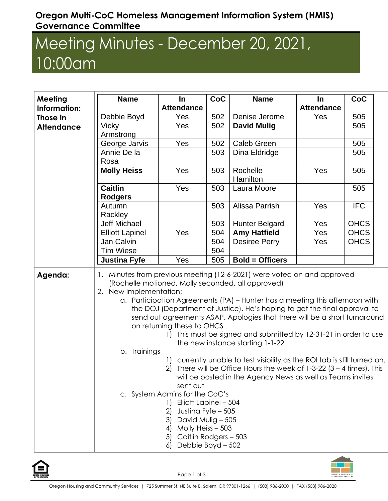## **Oregon Multi-CoC Homeless Management Information System (HMIS) Governance Committee**

## Meeting Minutes - December 20, 2021, 10:00am

| Meeting           | <b>Name</b>                                                                                                                                                                                                                                                                                                                                                                                                                                                                                                                                        | In                                                                                                                                                                                                        | CoC | <b>Name</b>                                                                                                                                                                                                       | In                | CoC         |
|-------------------|----------------------------------------------------------------------------------------------------------------------------------------------------------------------------------------------------------------------------------------------------------------------------------------------------------------------------------------------------------------------------------------------------------------------------------------------------------------------------------------------------------------------------------------------------|-----------------------------------------------------------------------------------------------------------------------------------------------------------------------------------------------------------|-----|-------------------------------------------------------------------------------------------------------------------------------------------------------------------------------------------------------------------|-------------------|-------------|
| Information:      |                                                                                                                                                                                                                                                                                                                                                                                                                                                                                                                                                    | <b>Attendance</b>                                                                                                                                                                                         |     |                                                                                                                                                                                                                   | <b>Attendance</b> |             |
| Those in          | Debbie Boyd                                                                                                                                                                                                                                                                                                                                                                                                                                                                                                                                        | Yes                                                                                                                                                                                                       | 502 | Denise Jerome                                                                                                                                                                                                     | Yes               | 505         |
| <b>Attendance</b> | <b>Vicky</b>                                                                                                                                                                                                                                                                                                                                                                                                                                                                                                                                       | Yes                                                                                                                                                                                                       | 502 | <b>David Mulig</b>                                                                                                                                                                                                |                   | 505         |
|                   | Armstrong                                                                                                                                                                                                                                                                                                                                                                                                                                                                                                                                          |                                                                                                                                                                                                           |     |                                                                                                                                                                                                                   |                   |             |
|                   | George Jarvis                                                                                                                                                                                                                                                                                                                                                                                                                                                                                                                                      | Yes                                                                                                                                                                                                       | 502 | <b>Caleb Green</b>                                                                                                                                                                                                |                   | 505         |
|                   | Annie De la                                                                                                                                                                                                                                                                                                                                                                                                                                                                                                                                        |                                                                                                                                                                                                           | 503 | Dina Eldridge                                                                                                                                                                                                     |                   | 505         |
|                   | Rosa                                                                                                                                                                                                                                                                                                                                                                                                                                                                                                                                               |                                                                                                                                                                                                           |     |                                                                                                                                                                                                                   |                   |             |
|                   | <b>Molly Heiss</b>                                                                                                                                                                                                                                                                                                                                                                                                                                                                                                                                 | Yes                                                                                                                                                                                                       | 503 | Rochelle<br>Hamilton                                                                                                                                                                                              | Yes               | 505         |
|                   | <b>Caitlin</b><br><b>Rodgers</b>                                                                                                                                                                                                                                                                                                                                                                                                                                                                                                                   | Yes                                                                                                                                                                                                       | 503 | Laura Moore                                                                                                                                                                                                       |                   | 505         |
|                   | Autumn<br>Rackley                                                                                                                                                                                                                                                                                                                                                                                                                                                                                                                                  |                                                                                                                                                                                                           | 503 | Alissa Parrish                                                                                                                                                                                                    | Yes               | <b>IFC</b>  |
|                   | Jeff Michael                                                                                                                                                                                                                                                                                                                                                                                                                                                                                                                                       |                                                                                                                                                                                                           | 503 | <b>Hunter Belgard</b>                                                                                                                                                                                             | Yes               | <b>OHCS</b> |
|                   | <b>Elliott Lapinel</b>                                                                                                                                                                                                                                                                                                                                                                                                                                                                                                                             | Yes                                                                                                                                                                                                       | 504 | <b>Amy Hatfield</b>                                                                                                                                                                                               | Yes               | <b>OHCS</b> |
|                   | Jan Calvin                                                                                                                                                                                                                                                                                                                                                                                                                                                                                                                                         |                                                                                                                                                                                                           | 504 | <b>Desiree Perry</b>                                                                                                                                                                                              | Yes               | <b>OHCS</b> |
|                   | <b>Tim Wiese</b>                                                                                                                                                                                                                                                                                                                                                                                                                                                                                                                                   |                                                                                                                                                                                                           | 504 |                                                                                                                                                                                                                   |                   |             |
|                   | <b>Justina Fyfe</b>                                                                                                                                                                                                                                                                                                                                                                                                                                                                                                                                | Yes                                                                                                                                                                                                       | 505 | <b>Bold = Officers</b>                                                                                                                                                                                            |                   |             |
| Agenda:           | 1. Minutes from previous meeting (12-6-2021) were voted on and approved<br>(Rochelle motioned, Molly seconded, all approved)<br>2. New Implementation:<br>a. Participation Agreements (PA) - Hunter has a meeting this afternoon with<br>the DOJ (Department of Justice). He's hoping to get the final approval to<br>send out agreements ASAP. Apologies that there will be a short turnaround<br>on returning these to OHCS<br>This must be signed and submitted by 12-31-21 in order to use<br>the new instance starting 1-1-22<br>b. Trainings |                                                                                                                                                                                                           |     |                                                                                                                                                                                                                   |                   |             |
|                   |                                                                                                                                                                                                                                                                                                                                                                                                                                                                                                                                                    | sent out<br>c. System Admins for the CoC's<br>1) Elliott Lapinel - 504<br>2)<br>Justina Fyfe - 505<br>3) David Mulig - 505<br>4) Molly Heiss - 503<br>5) Caitlin Rodgers - 503<br>Debbie Boyd - 502<br>6) |     | 1) currently unable to test visibility as the ROI tab is still turned on.<br>2) There will be Office Hours the week of $1-3-22$ (3 - 4 times). This<br>will be posted in the Agency News as well as Teams invites |                   |             |



Page 1 of 3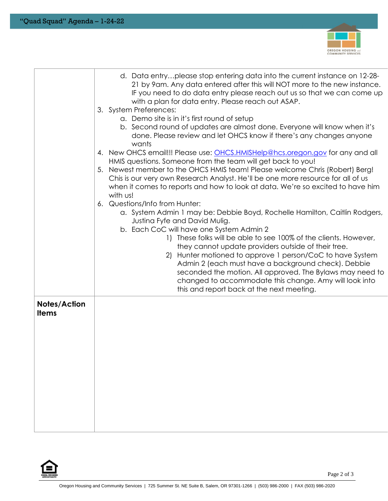

|                                     | d. Data entryplease stop entering data into the current instance on 12-28-<br>21 by 9am. Any data entered after this will NOT more to the new instance.<br>IF you need to do data entry please reach out us so that we can come up<br>with a plan for data entry. Please reach out ASAP.<br>3. System Preferences:                          |
|-------------------------------------|---------------------------------------------------------------------------------------------------------------------------------------------------------------------------------------------------------------------------------------------------------------------------------------------------------------------------------------------|
|                                     | a. Demo site is in it's first round of setup                                                                                                                                                                                                                                                                                                |
|                                     | b. Second round of updates are almost done. Everyone will know when it's<br>done. Please review and let OHCS know if there's any changes anyone<br>wants                                                                                                                                                                                    |
|                                     | 4. New OHCS email!!! Please use: OHCS.HMISHelp@hcs.oregon.gov for any and all<br>HMIS questions. Someone from the team will get back to you!                                                                                                                                                                                                |
|                                     | Newest member to the OHCS HMIS team! Please welcome Chris (Robert) Berg!<br>5.<br>Chis is our very own Research Analyst. He'll be one more resource for all of us<br>when it comes to reports and how to look at data. We're so excited to have him<br>with us!                                                                             |
|                                     | 6. Questions/Info from Hunter:<br>a. System Admin 1 may be: Debbie Boyd, Rochelle Hamilton, Caitlin Rodgers,                                                                                                                                                                                                                                |
|                                     | Justina Fyfe and David Mulig.                                                                                                                                                                                                                                                                                                               |
|                                     | b. Each CoC will have one System Admin 2                                                                                                                                                                                                                                                                                                    |
|                                     | 1) These folks will be able to see 100% of the clients. However,                                                                                                                                                                                                                                                                            |
|                                     | they cannot update providers outside of their tree.<br>2) Hunter motioned to approve 1 person/CoC to have System<br>Admin 2 (each must have a background check). Debbie<br>seconded the motion. All approved. The Bylaws may need to<br>changed to accommodate this change. Amy will look into<br>this and report back at the next meeting. |
| <b>Notes/Action</b><br><b>Items</b> |                                                                                                                                                                                                                                                                                                                                             |
|                                     |                                                                                                                                                                                                                                                                                                                                             |
|                                     |                                                                                                                                                                                                                                                                                                                                             |
|                                     |                                                                                                                                                                                                                                                                                                                                             |
|                                     |                                                                                                                                                                                                                                                                                                                                             |
|                                     |                                                                                                                                                                                                                                                                                                                                             |
|                                     |                                                                                                                                                                                                                                                                                                                                             |
|                                     |                                                                                                                                                                                                                                                                                                                                             |
|                                     |                                                                                                                                                                                                                                                                                                                                             |
|                                     |                                                                                                                                                                                                                                                                                                                                             |
|                                     |                                                                                                                                                                                                                                                                                                                                             |
|                                     |                                                                                                                                                                                                                                                                                                                                             |